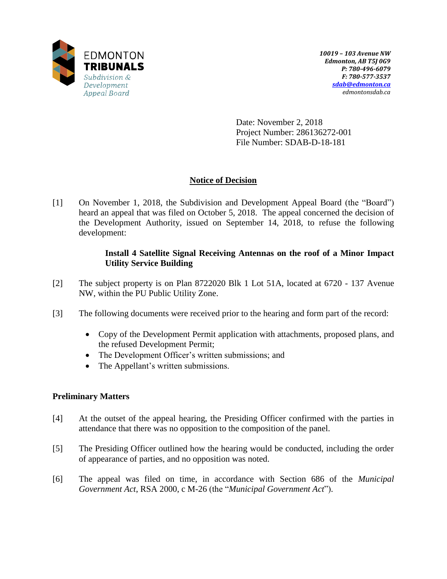

Date: November 2, 2018 Project Number: 286136272-001 File Number: SDAB-D-18-181

## **Notice of Decision**

[1] On November 1, 2018, the Subdivision and Development Appeal Board (the "Board") heard an appeal that was filed on October 5, 2018. The appeal concerned the decision of the Development Authority, issued on September 14, 2018, to refuse the following development:

### **Install 4 Satellite Signal Receiving Antennas on the roof of a Minor Impact Utility Service Building**

- [2] The subject property is on Plan 8722020 Blk 1 Lot 51A, located at 6720 137 Avenue NW, within the PU Public Utility Zone.
- [3] The following documents were received prior to the hearing and form part of the record:
	- Copy of the Development Permit application with attachments, proposed plans, and the refused Development Permit;
	- The Development Officer's written submissions; and
	- The Appellant's written submissions.

## **Preliminary Matters**

- [4] At the outset of the appeal hearing, the Presiding Officer confirmed with the parties in attendance that there was no opposition to the composition of the panel.
- [5] The Presiding Officer outlined how the hearing would be conducted, including the order of appearance of parties, and no opposition was noted.
- [6] The appeal was filed on time, in accordance with Section 686 of the *Municipal Government Act*, RSA 2000, c M-26 (the "*Municipal Government Act*").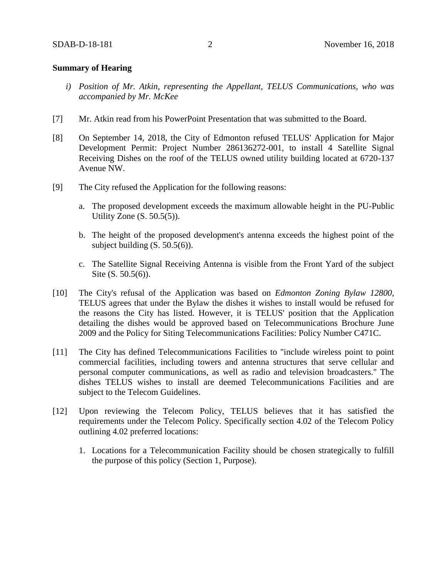#### **Summary of Hearing**

- *i) Position of Mr. Atkin, representing the Appellant, TELUS Communications, who was accompanied by Mr. McKee*
- [7] Mr. Atkin read from his PowerPoint Presentation that was submitted to the Board.
- [8] On September 14, 2018, the City of Edmonton refused TELUS' Application for Major Development Permit: Project Number 286136272-001, to install 4 Satellite Signal Receiving Dishes on the roof of the TELUS owned utility building located at 6720-137 Avenue NW.
- [9] The City refused the Application for the following reasons:
	- a. The proposed development exceeds the maximum allowable height in the PU-Public Utility Zone (S. 50.5(5)).
	- b. The height of the proposed development's antenna exceeds the highest point of the subject building  $(S. 50.5(6))$ .
	- c. The Satellite Signal Receiving Antenna is visible from the Front Yard of the subject Site (S. 50.5(6)).
- [10] The City's refusal of the Application was based on *Edmonton Zoning Bylaw 12800*, TELUS agrees that under the Bylaw the dishes it wishes to install would be refused for the reasons the City has listed. However, it is TELUS' position that the Application detailing the dishes would be approved based on Telecommunications Brochure June 2009 and the Policy for Siting Telecommunications Facilities: Policy Number C471C.
- [11] The City has defined Telecommunications Facilities to "include wireless point to point commercial facilities, including towers and antenna structures that serve cellular and personal computer communications, as well as radio and television broadcasters." The dishes TELUS wishes to install are deemed Telecommunications Facilities and are subject to the Telecom Guidelines.
- [12] Upon reviewing the Telecom Policy, TELUS believes that it has satisfied the requirements under the Telecom Policy. Specifically section 4.02 of the Telecom Policy outlining 4.02 preferred locations:
	- 1. Locations for a Telecommunication Facility should be chosen strategically to fulfill the purpose of this policy (Section 1, Purpose).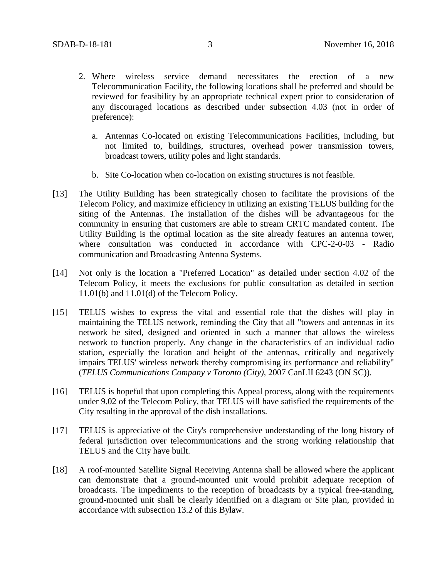- 2. Where wireless service demand necessitates the erection of a new Telecommunication Facility, the following locations shall be preferred and should be reviewed for feasibility by an appropriate technical expert prior to consideration of any discouraged locations as described under subsection 4.03 (not in order of preference):
	- a. Antennas Co-located on existing Telecommunications Facilities, including, but not limited to, buildings, structures, overhead power transmission towers, broadcast towers, utility poles and light standards.
	- b. Site Co-location when co-location on existing structures is not feasible.
- [13] The Utility Building has been strategically chosen to facilitate the provisions of the Telecom Policy, and maximize efficiency in utilizing an existing TELUS building for the siting of the Antennas. The installation of the dishes will be advantageous for the community in ensuring that customers are able to stream CRTC mandated content. The Utility Building is the optimal location as the site already features an antenna tower, where consultation was conducted in accordance with CPC-2-0-03 - Radio communication and Broadcasting Antenna Systems.
- [14] Not only is the location a "Preferred Location" as detailed under section 4.02 of the Telecom Policy, it meets the exclusions for public consultation as detailed in section 11.01(b) and 11.01(d) of the Telecom Policy.
- [15] TELUS wishes to express the vital and essential role that the dishes will play in maintaining the TELUS network, reminding the City that all "towers and antennas in its network be sited, designed and oriented in such a manner that allows the wireless network to function properly. Any change in the characteristics of an individual radio station, especially the location and height of the antennas, critically and negatively impairs TELUS' wireless network thereby compromising its performance and reliability" (*TELUS Communications Company v Toronto (City),* 2007 CanLII 6243 (ON SC)).
- [16] TELUS is hopeful that upon completing this Appeal process, along with the requirements under 9.02 of the Telecom Policy, that TELUS will have satisfied the requirements of the City resulting in the approval of the dish installations.
- [17] TELUS is appreciative of the City's comprehensive understanding of the long history of federal jurisdiction over telecommunications and the strong working relationship that TELUS and the City have built.
- [18] A roof-mounted Satellite Signal Receiving Antenna shall be allowed where the applicant can demonstrate that a ground-mounted unit would prohibit adequate reception of broadcasts. The impediments to the reception of broadcasts by a typical free-standing, ground-mounted unit shall be clearly identified on a diagram or Site plan, provided in accordance with subsection 13.2 of this Bylaw.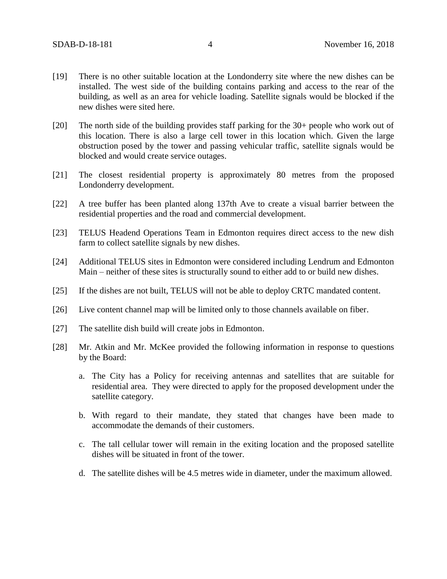- [19] There is no other suitable location at the Londonderry site where the new dishes can be installed. The west side of the building contains parking and access to the rear of the building, as well as an area for vehicle loading. Satellite signals would be blocked if the new dishes were sited here.
- [20] The north side of the building provides staff parking for the 30+ people who work out of this location. There is also a large cell tower in this location which. Given the large obstruction posed by the tower and passing vehicular traffic, satellite signals would be blocked and would create service outages.
- [21] The closest residential property is approximately 80 metres from the proposed Londonderry development.
- [22] A tree buffer has been planted along 137th Ave to create a visual barrier between the residential properties and the road and commercial development.
- [23] TELUS Headend Operations Team in Edmonton requires direct access to the new dish farm to collect satellite signals by new dishes.
- [24] Additional TELUS sites in Edmonton were considered including Lendrum and Edmonton Main – neither of these sites is structurally sound to either add to or build new dishes.
- [25] If the dishes are not built, TELUS will not be able to deploy CRTC mandated content.
- [26] Live content channel map will be limited only to those channels available on fiber.
- [27] The satellite dish build will create jobs in Edmonton.
- [28] Mr. Atkin and Mr. McKee provided the following information in response to questions by the Board:
	- a. The City has a Policy for receiving antennas and satellites that are suitable for residential area. They were directed to apply for the proposed development under the satellite category.
	- b. With regard to their mandate, they stated that changes have been made to accommodate the demands of their customers.
	- c. The tall cellular tower will remain in the exiting location and the proposed satellite dishes will be situated in front of the tower.
	- d. The satellite dishes will be 4.5 metres wide in diameter, under the maximum allowed.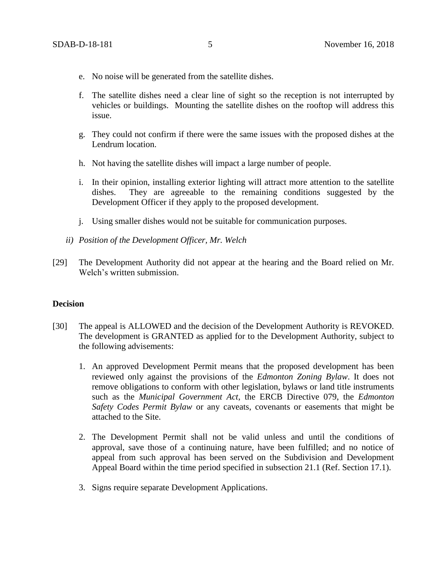- e. No noise will be generated from the satellite dishes.
- f. The satellite dishes need a clear line of sight so the reception is not interrupted by vehicles or buildings. Mounting the satellite dishes on the rooftop will address this issue.
- g. They could not confirm if there were the same issues with the proposed dishes at the Lendrum location.
- h. Not having the satellite dishes will impact a large number of people.
- i. In their opinion, installing exterior lighting will attract more attention to the satellite dishes. They are agreeable to the remaining conditions suggested by the Development Officer if they apply to the proposed development.
- j. Using smaller dishes would not be suitable for communication purposes.
- *ii) Position of the Development Officer, Mr. Welch*
- [29] The Development Authority did not appear at the hearing and the Board relied on Mr. Welch's written submission.

#### **Decision**

- [30] The appeal is ALLOWED and the decision of the Development Authority is REVOKED. The development is GRANTED as applied for to the Development Authority, subject to the following advisements:
	- 1. An approved Development Permit means that the proposed development has been reviewed only against the provisions of the *Edmonton Zoning Bylaw*. It does not remove obligations to conform with other legislation, bylaws or land title instruments such as the *Municipal Government Act*, the ERCB Directive 079, the *Edmonton Safety Codes Permit Bylaw* or any caveats, covenants or easements that might be attached to the Site.
	- 2. The Development Permit shall not be valid unless and until the conditions of approval, save those of a continuing nature, have been fulfilled; and no notice of appeal from such approval has been served on the Subdivision and Development Appeal Board within the time period specified in subsection 21.1 (Ref. Section 17.1).
	- 3. Signs require separate Development Applications.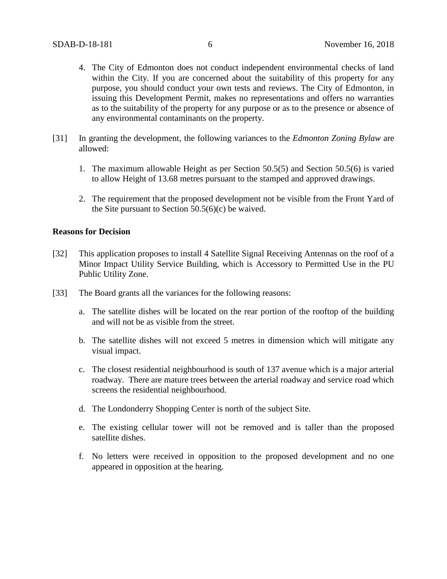- 4. The City of Edmonton does not conduct independent environmental checks of land within the City. If you are concerned about the suitability of this property for any purpose, you should conduct your own tests and reviews. The City of Edmonton, in issuing this Development Permit, makes no representations and offers no warranties as to the suitability of the property for any purpose or as to the presence or absence of any environmental contaminants on the property.
- [31] In granting the development, the following variances to the *Edmonton Zoning Bylaw* are allowed:
	- 1. The maximum allowable Height as per Section 50.5(5) and Section 50.5(6) is varied to allow Height of 13.68 metres pursuant to the stamped and approved drawings.
	- 2. The requirement that the proposed development not be visible from the Front Yard of the Site pursuant to Section  $50.5(6)(c)$  be waived.

#### **Reasons for Decision**

- [32] This application proposes to install 4 Satellite Signal Receiving Antennas on the roof of a Minor Impact Utility Service Building, which is Accessory to Permitted Use in the PU Public Utility Zone.
- [33] The Board grants all the variances for the following reasons:
	- a. The satellite dishes will be located on the rear portion of the rooftop of the building and will not be as visible from the street.
	- b. The satellite dishes will not exceed 5 metres in dimension which will mitigate any visual impact.
	- c. The closest residential neighbourhood is south of 137 avenue which is a major arterial roadway. There are mature trees between the arterial roadway and service road which screens the residential neighbourhood.
	- d. The Londonderry Shopping Center is north of the subject Site.
	- e. The existing cellular tower will not be removed and is taller than the proposed satellite dishes.
	- f. No letters were received in opposition to the proposed development and no one appeared in opposition at the hearing.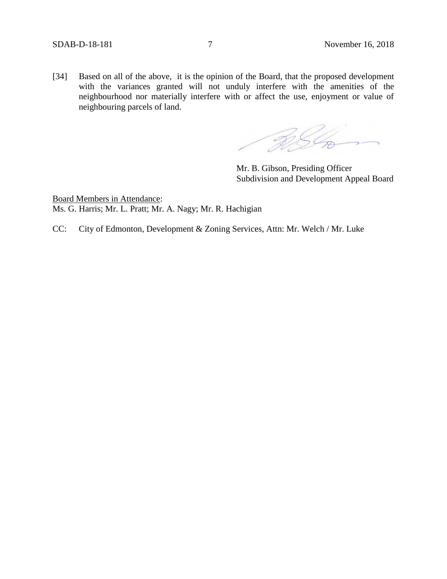[34] Based on all of the above, it is the opinion of the Board, that the proposed development with the variances granted will not unduly interfere with the amenities of the neighbourhood nor materially interfere with or affect the use, enjoyment or value of neighbouring parcels of land.

RSL

Mr. B. Gibson, Presiding Officer Subdivision and Development Appeal Board

Board Members in Attendance: Ms. G. Harris; Mr. L. Pratt; Mr. A. Nagy; Mr. R. Hachigian

CC: City of Edmonton, Development & Zoning Services, Attn: Mr. Welch / Mr. Luke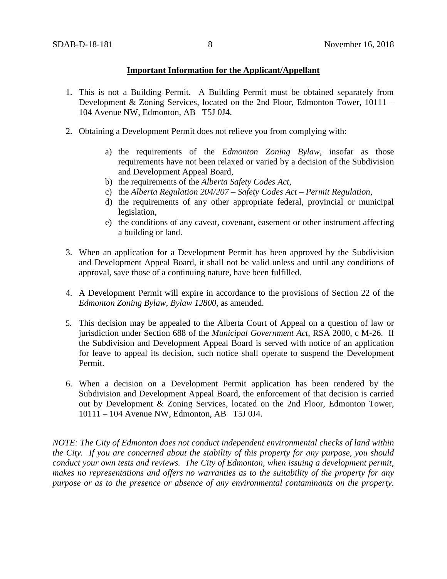### **Important Information for the Applicant/Appellant**

- 1. This is not a Building Permit. A Building Permit must be obtained separately from Development & Zoning Services, located on the 2nd Floor, Edmonton Tower, 10111 – 104 Avenue NW, Edmonton, AB T5J 0J4.
- 2. Obtaining a Development Permit does not relieve you from complying with:
	- a) the requirements of the *Edmonton Zoning Bylaw*, insofar as those requirements have not been relaxed or varied by a decision of the Subdivision and Development Appeal Board,
	- b) the requirements of the *Alberta Safety Codes Act*,
	- c) the *Alberta Regulation 204/207 – Safety Codes Act – Permit Regulation*,
	- d) the requirements of any other appropriate federal, provincial or municipal legislation,
	- e) the conditions of any caveat, covenant, easement or other instrument affecting a building or land.
- 3. When an application for a Development Permit has been approved by the Subdivision and Development Appeal Board, it shall not be valid unless and until any conditions of approval, save those of a continuing nature, have been fulfilled.
- 4. A Development Permit will expire in accordance to the provisions of Section 22 of the *Edmonton Zoning Bylaw, Bylaw 12800*, as amended.
- 5. This decision may be appealed to the Alberta Court of Appeal on a question of law or jurisdiction under Section 688 of the *Municipal Government Act*, RSA 2000, c M-26. If the Subdivision and Development Appeal Board is served with notice of an application for leave to appeal its decision, such notice shall operate to suspend the Development Permit.
- 6. When a decision on a Development Permit application has been rendered by the Subdivision and Development Appeal Board, the enforcement of that decision is carried out by Development & Zoning Services, located on the 2nd Floor, Edmonton Tower, 10111 – 104 Avenue NW, Edmonton, AB T5J 0J4.

*NOTE: The City of Edmonton does not conduct independent environmental checks of land within the City. If you are concerned about the stability of this property for any purpose, you should conduct your own tests and reviews. The City of Edmonton, when issuing a development permit, makes no representations and offers no warranties as to the suitability of the property for any purpose or as to the presence or absence of any environmental contaminants on the property.*